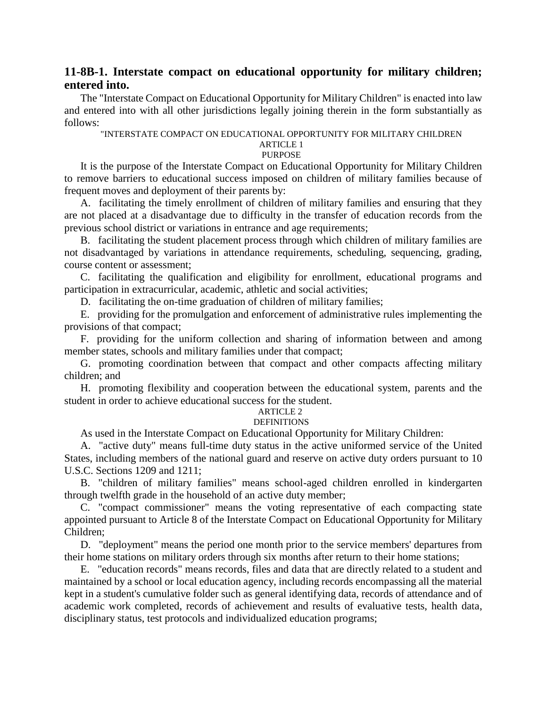# **11-8B-1. Interstate compact on educational opportunity for military children; entered into.**

The "Interstate Compact on Educational Opportunity for Military Children" is enacted into law and entered into with all other jurisdictions legally joining therein in the form substantially as follows:

#### "INTERSTATE COMPACT ON EDUCATIONAL OPPORTUNITY FOR MILITARY CHILDREN ARTICLE 1

#### **PURPOSE**

It is the purpose of the Interstate Compact on Educational Opportunity for Military Children to remove barriers to educational success imposed on children of military families because of frequent moves and deployment of their parents by:

A. facilitating the timely enrollment of children of military families and ensuring that they are not placed at a disadvantage due to difficulty in the transfer of education records from the previous school district or variations in entrance and age requirements;

B. facilitating the student placement process through which children of military families are not disadvantaged by variations in attendance requirements, scheduling, sequencing, grading, course content or assessment;

C. facilitating the qualification and eligibility for enrollment, educational programs and participation in extracurricular, academic, athletic and social activities;

D. facilitating the on-time graduation of children of military families;

E. providing for the promulgation and enforcement of administrative rules implementing the provisions of that compact;

F. providing for the uniform collection and sharing of information between and among member states, schools and military families under that compact;

G. promoting coordination between that compact and other compacts affecting military children; and

H. promoting flexibility and cooperation between the educational system, parents and the student in order to achieve educational success for the student.

#### ARTICLE 2 **DEFINITIONS**

As used in the Interstate Compact on Educational Opportunity for Military Children:

A. "active duty" means full-time duty status in the active uniformed service of the United States, including members of the national guard and reserve on active duty orders pursuant to 10 U.S.C. Sections 1209 and 1211;

B. "children of military families" means school-aged children enrolled in kindergarten through twelfth grade in the household of an active duty member;

C. "compact commissioner" means the voting representative of each compacting state appointed pursuant to Article 8 of the Interstate Compact on Educational Opportunity for Military Children;

D. "deployment" means the period one month prior to the service members' departures from their home stations on military orders through six months after return to their home stations;

E. "education records" means records, files and data that are directly related to a student and maintained by a school or local education agency, including records encompassing all the material kept in a student's cumulative folder such as general identifying data, records of attendance and of academic work completed, records of achievement and results of evaluative tests, health data, disciplinary status, test protocols and individualized education programs;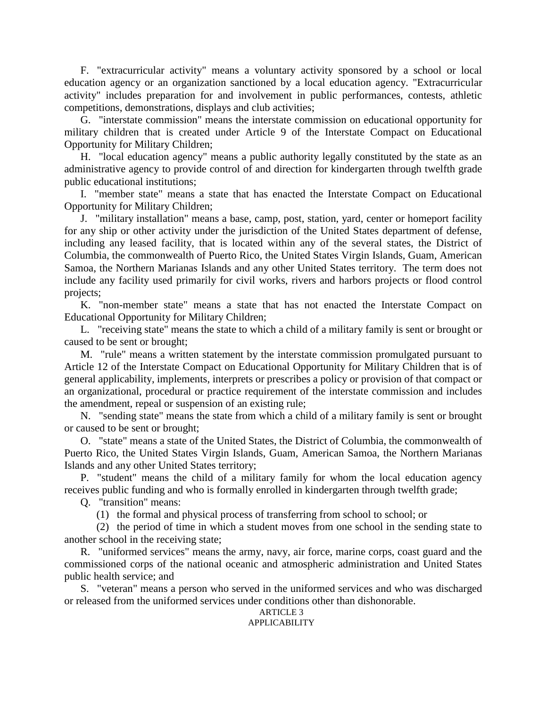F. "extracurricular activity" means a voluntary activity sponsored by a school or local education agency or an organization sanctioned by a local education agency. "Extracurricular activity" includes preparation for and involvement in public performances, contests, athletic competitions, demonstrations, displays and club activities;

G. "interstate commission" means the interstate commission on educational opportunity for military children that is created under Article 9 of the Interstate Compact on Educational Opportunity for Military Children;

H. "local education agency" means a public authority legally constituted by the state as an administrative agency to provide control of and direction for kindergarten through twelfth grade public educational institutions;

I. "member state" means a state that has enacted the Interstate Compact on Educational Opportunity for Military Children;

J. "military installation" means a base, camp, post, station, yard, center or homeport facility for any ship or other activity under the jurisdiction of the United States department of defense, including any leased facility, that is located within any of the several states, the District of Columbia, the commonwealth of Puerto Rico, the United States Virgin Islands, Guam, American Samoa, the Northern Marianas Islands and any other United States territory. The term does not include any facility used primarily for civil works, rivers and harbors projects or flood control projects;

K. "non-member state" means a state that has not enacted the Interstate Compact on Educational Opportunity for Military Children;

L. "receiving state" means the state to which a child of a military family is sent or brought or caused to be sent or brought;

M. "rule" means a written statement by the interstate commission promulgated pursuant to Article 12 of the Interstate Compact on Educational Opportunity for Military Children that is of general applicability, implements, interprets or prescribes a policy or provision of that compact or an organizational, procedural or practice requirement of the interstate commission and includes the amendment, repeal or suspension of an existing rule;

N. "sending state" means the state from which a child of a military family is sent or brought or caused to be sent or brought;

O. "state" means a state of the United States, the District of Columbia, the commonwealth of Puerto Rico, the United States Virgin Islands, Guam, American Samoa, the Northern Marianas Islands and any other United States territory;

P. "student" means the child of a military family for whom the local education agency receives public funding and who is formally enrolled in kindergarten through twelfth grade;

Q. "transition" means:

(1) the formal and physical process of transferring from school to school; or

(2) the period of time in which a student moves from one school in the sending state to another school in the receiving state;

R. "uniformed services" means the army, navy, air force, marine corps, coast guard and the commissioned corps of the national oceanic and atmospheric administration and United States public health service; and

S. "veteran" means a person who served in the uniformed services and who was discharged or released from the uniformed services under conditions other than dishonorable.

#### **ARTICLE 3** APPLICABILITY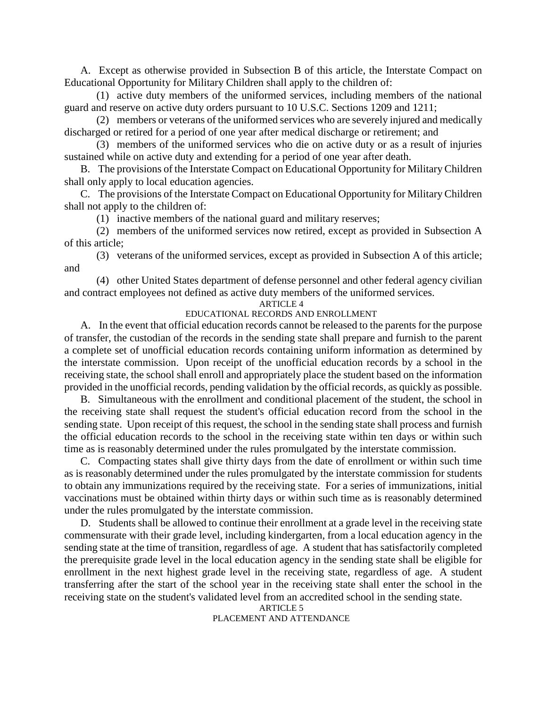A. Except as otherwise provided in Subsection B of this article, the Interstate Compact on Educational Opportunity for Military Children shall apply to the children of:

(1) active duty members of the uniformed services, including members of the national guard and reserve on active duty orders pursuant to 10 U.S.C. Sections 1209 and 1211;

(2) members or veterans of the uniformed services who are severely injured and medically discharged or retired for a period of one year after medical discharge or retirement; and

(3) members of the uniformed services who die on active duty or as a result of injuries sustained while on active duty and extending for a period of one year after death.

B. The provisions of the Interstate Compact on Educational Opportunity for Military Children shall only apply to local education agencies.

C. The provisions of the Interstate Compact on Educational Opportunity for Military Children shall not apply to the children of:

(1) inactive members of the national guard and military reserves;

(2) members of the uniformed services now retired, except as provided in Subsection A of this article;

(3) veterans of the uniformed services, except as provided in Subsection A of this article; and

(4) other United States department of defense personnel and other federal agency civilian and contract employees not defined as active duty members of the uniformed services.

### ARTICLE 4

### EDUCATIONAL RECORDS AND ENROLLMENT

A. In the event that official education records cannot be released to the parents for the purpose of transfer, the custodian of the records in the sending state shall prepare and furnish to the parent a complete set of unofficial education records containing uniform information as determined by the interstate commission. Upon receipt of the unofficial education records by a school in the receiving state, the school shall enroll and appropriately place the student based on the information provided in the unofficial records, pending validation by the official records, as quickly as possible.

B. Simultaneous with the enrollment and conditional placement of the student, the school in the receiving state shall request the student's official education record from the school in the sending state. Upon receipt of this request, the school in the sending state shall process and furnish the official education records to the school in the receiving state within ten days or within such time as is reasonably determined under the rules promulgated by the interstate commission.

C. Compacting states shall give thirty days from the date of enrollment or within such time as is reasonably determined under the rules promulgated by the interstate commission for students to obtain any immunizations required by the receiving state. For a series of immunizations, initial vaccinations must be obtained within thirty days or within such time as is reasonably determined under the rules promulgated by the interstate commission.

D. Students shall be allowed to continue their enrollment at a grade level in the receiving state commensurate with their grade level, including kindergarten, from a local education agency in the sending state at the time of transition, regardless of age. A student that has satisfactorily completed the prerequisite grade level in the local education agency in the sending state shall be eligible for enrollment in the next highest grade level in the receiving state, regardless of age. A student transferring after the start of the school year in the receiving state shall enter the school in the receiving state on the student's validated level from an accredited school in the sending state.

ARTICLE 5 PLACEMENT AND ATTENDANCE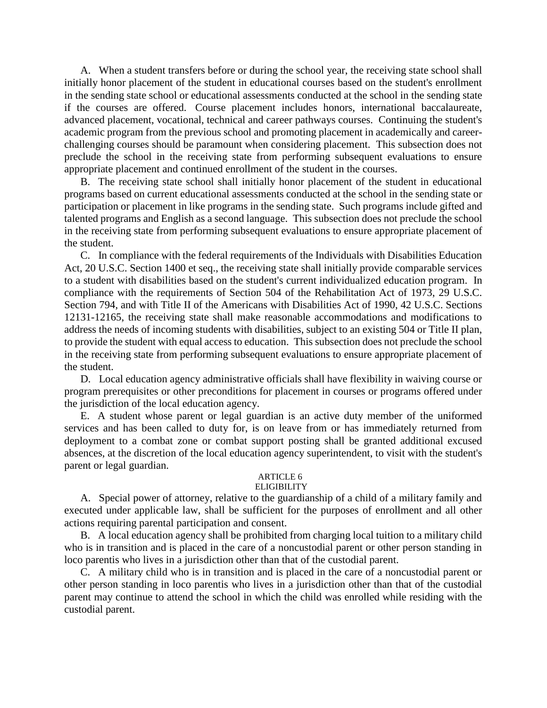A. When a student transfers before or during the school year, the receiving state school shall initially honor placement of the student in educational courses based on the student's enrollment in the sending state school or educational assessments conducted at the school in the sending state if the courses are offered. Course placement includes honors, international baccalaureate, advanced placement, vocational, technical and career pathways courses. Continuing the student's academic program from the previous school and promoting placement in academically and careerchallenging courses should be paramount when considering placement. This subsection does not preclude the school in the receiving state from performing subsequent evaluations to ensure appropriate placement and continued enrollment of the student in the courses.

B. The receiving state school shall initially honor placement of the student in educational programs based on current educational assessments conducted at the school in the sending state or participation or placement in like programs in the sending state. Such programs include gifted and talented programs and English as a second language. This subsection does not preclude the school in the receiving state from performing subsequent evaluations to ensure appropriate placement of the student.

C. In compliance with the federal requirements of the Individuals with Disabilities Education Act, 20 U.S.C. Section 1400 et seq., the receiving state shall initially provide comparable services to a student with disabilities based on the student's current individualized education program. In compliance with the requirements of Section 504 of the Rehabilitation Act of 1973, 29 U.S.C. Section 794, and with Title II of the Americans with Disabilities Act of 1990, 42 U.S.C. Sections 12131-12165, the receiving state shall make reasonable accommodations and modifications to address the needs of incoming students with disabilities, subject to an existing 504 or Title II plan, to provide the student with equal access to education. This subsection does not preclude the school in the receiving state from performing subsequent evaluations to ensure appropriate placement of the student.

D. Local education agency administrative officials shall have flexibility in waiving course or program prerequisites or other preconditions for placement in courses or programs offered under the jurisdiction of the local education agency.

E. A student whose parent or legal guardian is an active duty member of the uniformed services and has been called to duty for, is on leave from or has immediately returned from deployment to a combat zone or combat support posting shall be granted additional excused absences, at the discretion of the local education agency superintendent, to visit with the student's parent or legal guardian.

# ARTICLE 6

#### **ELIGIBILITY**

A. Special power of attorney, relative to the guardianship of a child of a military family and executed under applicable law, shall be sufficient for the purposes of enrollment and all other actions requiring parental participation and consent.

B. A local education agency shall be prohibited from charging local tuition to a military child who is in transition and is placed in the care of a noncustodial parent or other person standing in loco parentis who lives in a jurisdiction other than that of the custodial parent.

C. A military child who is in transition and is placed in the care of a noncustodial parent or other person standing in loco parentis who lives in a jurisdiction other than that of the custodial parent may continue to attend the school in which the child was enrolled while residing with the custodial parent.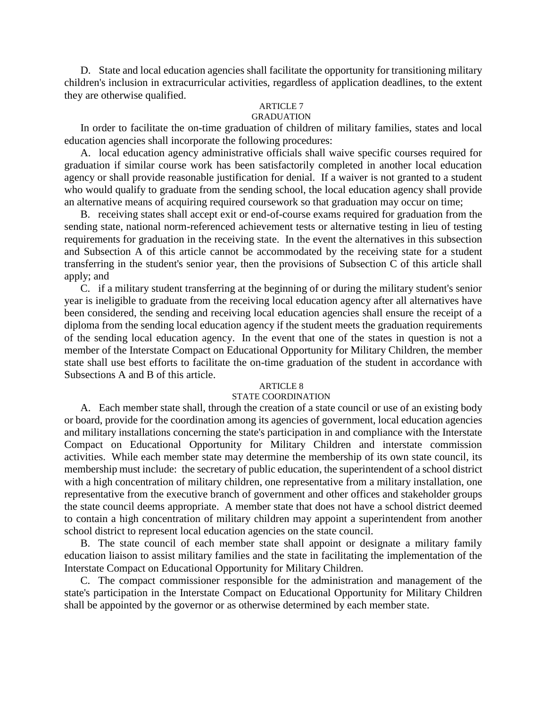D. State and local education agencies shall facilitate the opportunity for transitioning military children's inclusion in extracurricular activities, regardless of application deadlines, to the extent they are otherwise qualified.

## ARTICLE 7

## GRADUATION

In order to facilitate the on-time graduation of children of military families, states and local education agencies shall incorporate the following procedures:

A. local education agency administrative officials shall waive specific courses required for graduation if similar course work has been satisfactorily completed in another local education agency or shall provide reasonable justification for denial. If a waiver is not granted to a student who would qualify to graduate from the sending school, the local education agency shall provide an alternative means of acquiring required coursework so that graduation may occur on time;

B. receiving states shall accept exit or end-of-course exams required for graduation from the sending state, national norm-referenced achievement tests or alternative testing in lieu of testing requirements for graduation in the receiving state. In the event the alternatives in this subsection and Subsection A of this article cannot be accommodated by the receiving state for a student transferring in the student's senior year, then the provisions of Subsection C of this article shall apply; and

C. if a military student transferring at the beginning of or during the military student's senior year is ineligible to graduate from the receiving local education agency after all alternatives have been considered, the sending and receiving local education agencies shall ensure the receipt of a diploma from the sending local education agency if the student meets the graduation requirements of the sending local education agency. In the event that one of the states in question is not a member of the Interstate Compact on Educational Opportunity for Military Children, the member state shall use best efforts to facilitate the on-time graduation of the student in accordance with Subsections A and B of this article.

### ARTICLE 8

### STATE COORDINATION

A. Each member state shall, through the creation of a state council or use of an existing body or board, provide for the coordination among its agencies of government, local education agencies and military installations concerning the state's participation in and compliance with the Interstate Compact on Educational Opportunity for Military Children and interstate commission activities. While each member state may determine the membership of its own state council, its membership must include: the secretary of public education, the superintendent of a school district with a high concentration of military children, one representative from a military installation, one representative from the executive branch of government and other offices and stakeholder groups the state council deems appropriate. A member state that does not have a school district deemed to contain a high concentration of military children may appoint a superintendent from another school district to represent local education agencies on the state council.

B. The state council of each member state shall appoint or designate a military family education liaison to assist military families and the state in facilitating the implementation of the Interstate Compact on Educational Opportunity for Military Children.

C. The compact commissioner responsible for the administration and management of the state's participation in the Interstate Compact on Educational Opportunity for Military Children shall be appointed by the governor or as otherwise determined by each member state.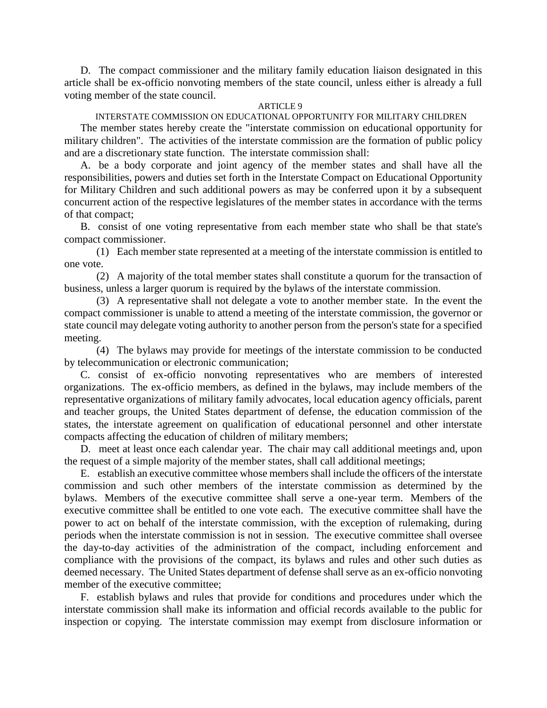D. The compact commissioner and the military family education liaison designated in this article shall be ex-officio nonvoting members of the state council, unless either is already a full voting member of the state council.

#### **ARTICLE 9**

INTERSTATE COMMISSION ON EDUCATIONAL OPPORTUNITY FOR MILITARY CHILDREN The member states hereby create the "interstate commission on educational opportunity for military children". The activities of the interstate commission are the formation of public policy and are a discretionary state function. The interstate commission shall:

A. be a body corporate and joint agency of the member states and shall have all the responsibilities, powers and duties set forth in the Interstate Compact on Educational Opportunity for Military Children and such additional powers as may be conferred upon it by a subsequent concurrent action of the respective legislatures of the member states in accordance with the terms of that compact;

B. consist of one voting representative from each member state who shall be that state's compact commissioner.

(1) Each member state represented at a meeting of the interstate commission is entitled to one vote.

(2) A majority of the total member states shall constitute a quorum for the transaction of business, unless a larger quorum is required by the bylaws of the interstate commission.

(3) A representative shall not delegate a vote to another member state. In the event the compact commissioner is unable to attend a meeting of the interstate commission, the governor or state council may delegate voting authority to another person from the person's state for a specified meeting.

(4) The bylaws may provide for meetings of the interstate commission to be conducted by telecommunication or electronic communication;

C. consist of ex-officio nonvoting representatives who are members of interested organizations. The ex-officio members, as defined in the bylaws, may include members of the representative organizations of military family advocates, local education agency officials, parent and teacher groups, the United States department of defense, the education commission of the states, the interstate agreement on qualification of educational personnel and other interstate compacts affecting the education of children of military members;

D. meet at least once each calendar year. The chair may call additional meetings and, upon the request of a simple majority of the member states, shall call additional meetings;

E. establish an executive committee whose members shall include the officers of the interstate commission and such other members of the interstate commission as determined by the bylaws. Members of the executive committee shall serve a one-year term. Members of the executive committee shall be entitled to one vote each. The executive committee shall have the power to act on behalf of the interstate commission, with the exception of rulemaking, during periods when the interstate commission is not in session. The executive committee shall oversee the day-to-day activities of the administration of the compact, including enforcement and compliance with the provisions of the compact, its bylaws and rules and other such duties as deemed necessary. The United States department of defense shall serve as an ex-officio nonvoting member of the executive committee;

F. establish bylaws and rules that provide for conditions and procedures under which the interstate commission shall make its information and official records available to the public for inspection or copying. The interstate commission may exempt from disclosure information or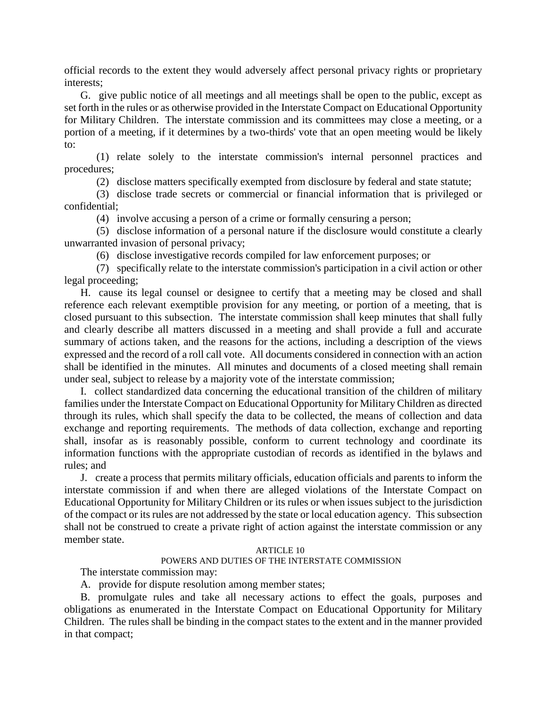official records to the extent they would adversely affect personal privacy rights or proprietary interests;

G. give public notice of all meetings and all meetings shall be open to the public, except as set forth in the rules or as otherwise provided in the Interstate Compact on Educational Opportunity for Military Children. The interstate commission and its committees may close a meeting, or a portion of a meeting, if it determines by a two-thirds' vote that an open meeting would be likely to:

(1) relate solely to the interstate commission's internal personnel practices and procedures;

(2) disclose matters specifically exempted from disclosure by federal and state statute;

(3) disclose trade secrets or commercial or financial information that is privileged or confidential;

(4) involve accusing a person of a crime or formally censuring a person;

(5) disclose information of a personal nature if the disclosure would constitute a clearly unwarranted invasion of personal privacy;

(6) disclose investigative records compiled for law enforcement purposes; or

(7) specifically relate to the interstate commission's participation in a civil action or other legal proceeding;

H. cause its legal counsel or designee to certify that a meeting may be closed and shall reference each relevant exemptible provision for any meeting, or portion of a meeting, that is closed pursuant to this subsection. The interstate commission shall keep minutes that shall fully and clearly describe all matters discussed in a meeting and shall provide a full and accurate summary of actions taken, and the reasons for the actions, including a description of the views expressed and the record of a roll call vote. All documents considered in connection with an action shall be identified in the minutes. All minutes and documents of a closed meeting shall remain under seal, subject to release by a majority vote of the interstate commission;

I. collect standardized data concerning the educational transition of the children of military families under the Interstate Compact on Educational Opportunity for Military Children as directed through its rules, which shall specify the data to be collected, the means of collection and data exchange and reporting requirements. The methods of data collection, exchange and reporting shall, insofar as is reasonably possible, conform to current technology and coordinate its information functions with the appropriate custodian of records as identified in the bylaws and rules; and

J. create a process that permits military officials, education officials and parents to inform the interstate commission if and when there are alleged violations of the Interstate Compact on Educational Opportunity for Military Children or its rules or when issues subject to the jurisdiction of the compact or its rules are not addressed by the state or local education agency. This subsection shall not be construed to create a private right of action against the interstate commission or any member state.

### ARTICLE 10

## POWERS AND DUTIES OF THE INTERSTATE COMMISSION

The interstate commission may:

A. provide for dispute resolution among member states;

B. promulgate rules and take all necessary actions to effect the goals, purposes and obligations as enumerated in the Interstate Compact on Educational Opportunity for Military Children. The rules shall be binding in the compact states to the extent and in the manner provided in that compact;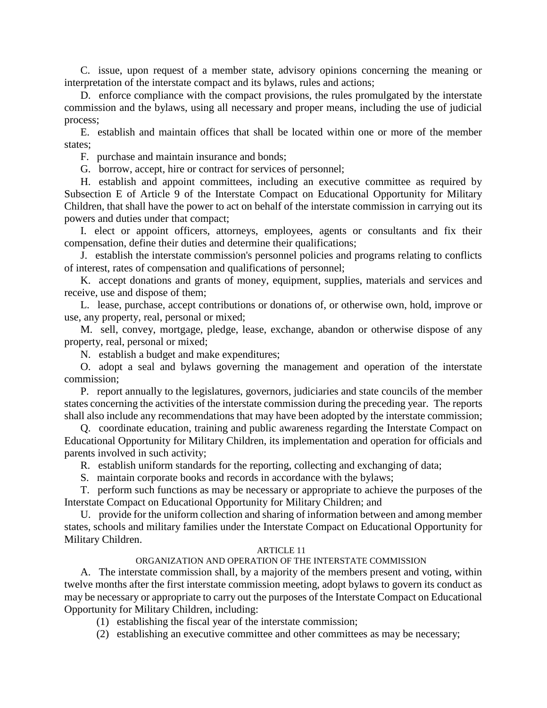C. issue, upon request of a member state, advisory opinions concerning the meaning or interpretation of the interstate compact and its bylaws, rules and actions;

D. enforce compliance with the compact provisions, the rules promulgated by the interstate commission and the bylaws, using all necessary and proper means, including the use of judicial process;

E. establish and maintain offices that shall be located within one or more of the member states;

F. purchase and maintain insurance and bonds;

G. borrow, accept, hire or contract for services of personnel;

H. establish and appoint committees, including an executive committee as required by Subsection E of Article 9 of the Interstate Compact on Educational Opportunity for Military Children, that shall have the power to act on behalf of the interstate commission in carrying out its powers and duties under that compact;

I. elect or appoint officers, attorneys, employees, agents or consultants and fix their compensation, define their duties and determine their qualifications;

J. establish the interstate commission's personnel policies and programs relating to conflicts of interest, rates of compensation and qualifications of personnel;

K. accept donations and grants of money, equipment, supplies, materials and services and receive, use and dispose of them;

L. lease, purchase, accept contributions or donations of, or otherwise own, hold, improve or use, any property, real, personal or mixed;

M. sell, convey, mortgage, pledge, lease, exchange, abandon or otherwise dispose of any property, real, personal or mixed;

N. establish a budget and make expenditures;

O. adopt a seal and bylaws governing the management and operation of the interstate commission;

P. report annually to the legislatures, governors, judiciaries and state councils of the member states concerning the activities of the interstate commission during the preceding year. The reports shall also include any recommendations that may have been adopted by the interstate commission;

Q. coordinate education, training and public awareness regarding the Interstate Compact on Educational Opportunity for Military Children, its implementation and operation for officials and parents involved in such activity;

R. establish uniform standards for the reporting, collecting and exchanging of data;

S. maintain corporate books and records in accordance with the bylaws;

T. perform such functions as may be necessary or appropriate to achieve the purposes of the Interstate Compact on Educational Opportunity for Military Children; and

U. provide for the uniform collection and sharing of information between and among member states, schools and military families under the Interstate Compact on Educational Opportunity for Military Children.

### ARTICLE 11

### ORGANIZATION AND OPERATION OF THE INTERSTATE COMMISSION

A. The interstate commission shall, by a majority of the members present and voting, within twelve months after the first interstate commission meeting, adopt bylaws to govern its conduct as may be necessary or appropriate to carry out the purposes of the Interstate Compact on Educational Opportunity for Military Children, including:

(1) establishing the fiscal year of the interstate commission;

(2) establishing an executive committee and other committees as may be necessary;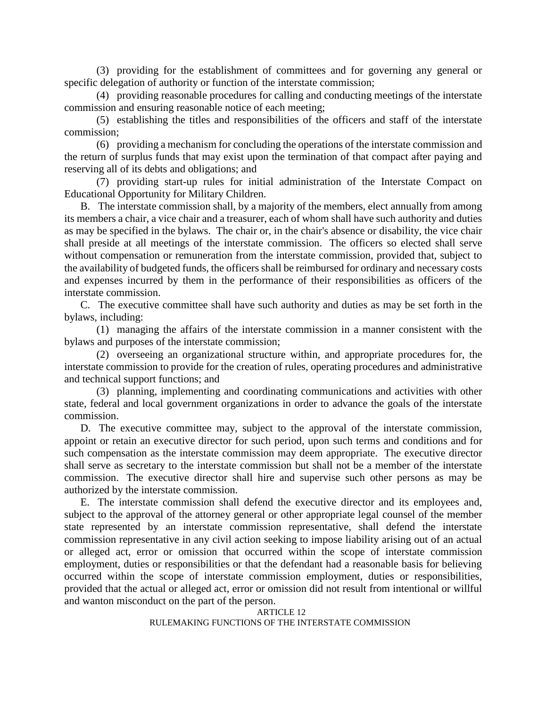(3) providing for the establishment of committees and for governing any general or specific delegation of authority or function of the interstate commission;

(4) providing reasonable procedures for calling and conducting meetings of the interstate commission and ensuring reasonable notice of each meeting;

(5) establishing the titles and responsibilities of the officers and staff of the interstate commission;

(6) providing a mechanism for concluding the operations of the interstate commission and the return of surplus funds that may exist upon the termination of that compact after paying and reserving all of its debts and obligations; and

(7) providing start-up rules for initial administration of the Interstate Compact on Educational Opportunity for Military Children.

B. The interstate commission shall, by a majority of the members, elect annually from among its members a chair, a vice chair and a treasurer, each of whom shall have such authority and duties as may be specified in the bylaws. The chair or, in the chair's absence or disability, the vice chair shall preside at all meetings of the interstate commission. The officers so elected shall serve without compensation or remuneration from the interstate commission, provided that, subject to the availability of budgeted funds, the officers shall be reimbursed for ordinary and necessary costs and expenses incurred by them in the performance of their responsibilities as officers of the interstate commission.

C. The executive committee shall have such authority and duties as may be set forth in the bylaws, including:

(1) managing the affairs of the interstate commission in a manner consistent with the bylaws and purposes of the interstate commission;

(2) overseeing an organizational structure within, and appropriate procedures for, the interstate commission to provide for the creation of rules, operating procedures and administrative and technical support functions; and

(3) planning, implementing and coordinating communications and activities with other state, federal and local government organizations in order to advance the goals of the interstate commission.

D. The executive committee may, subject to the approval of the interstate commission, appoint or retain an executive director for such period, upon such terms and conditions and for such compensation as the interstate commission may deem appropriate. The executive director shall serve as secretary to the interstate commission but shall not be a member of the interstate commission. The executive director shall hire and supervise such other persons as may be authorized by the interstate commission.

E. The interstate commission shall defend the executive director and its employees and, subject to the approval of the attorney general or other appropriate legal counsel of the member state represented by an interstate commission representative, shall defend the interstate commission representative in any civil action seeking to impose liability arising out of an actual or alleged act, error or omission that occurred within the scope of interstate commission employment, duties or responsibilities or that the defendant had a reasonable basis for believing occurred within the scope of interstate commission employment, duties or responsibilities, provided that the actual or alleged act, error or omission did not result from intentional or willful and wanton misconduct on the part of the person.

ARTICLE 12 RULEMAKING FUNCTIONS OF THE INTERSTATE COMMISSION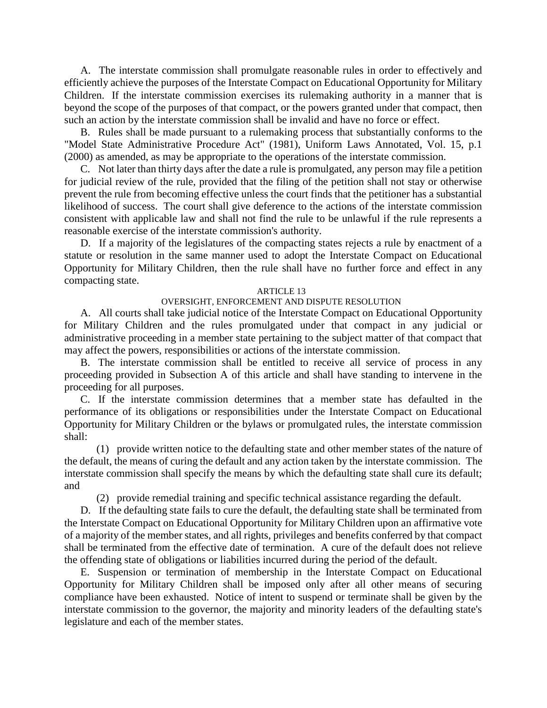A. The interstate commission shall promulgate reasonable rules in order to effectively and efficiently achieve the purposes of the Interstate Compact on Educational Opportunity for Military Children. If the interstate commission exercises its rulemaking authority in a manner that is beyond the scope of the purposes of that compact, or the powers granted under that compact, then such an action by the interstate commission shall be invalid and have no force or effect.

B. Rules shall be made pursuant to a rulemaking process that substantially conforms to the "Model State Administrative Procedure Act" (1981), Uniform Laws Annotated, Vol. 15, p.1 (2000) as amended, as may be appropriate to the operations of the interstate commission.

C. Not later than thirty days after the date a rule is promulgated, any person may file a petition for judicial review of the rule, provided that the filing of the petition shall not stay or otherwise prevent the rule from becoming effective unless the court finds that the petitioner has a substantial likelihood of success. The court shall give deference to the actions of the interstate commission consistent with applicable law and shall not find the rule to be unlawful if the rule represents a reasonable exercise of the interstate commission's authority.

D. If a majority of the legislatures of the compacting states rejects a rule by enactment of a statute or resolution in the same manner used to adopt the Interstate Compact on Educational Opportunity for Military Children, then the rule shall have no further force and effect in any compacting state.

#### ARTICLE 13

### OVERSIGHT, ENFORCEMENT AND DISPUTE RESOLUTION

A. All courts shall take judicial notice of the Interstate Compact on Educational Opportunity for Military Children and the rules promulgated under that compact in any judicial or administrative proceeding in a member state pertaining to the subject matter of that compact that may affect the powers, responsibilities or actions of the interstate commission.

B. The interstate commission shall be entitled to receive all service of process in any proceeding provided in Subsection A of this article and shall have standing to intervene in the proceeding for all purposes.

C. If the interstate commission determines that a member state has defaulted in the performance of its obligations or responsibilities under the Interstate Compact on Educational Opportunity for Military Children or the bylaws or promulgated rules, the interstate commission shall:

(1) provide written notice to the defaulting state and other member states of the nature of the default, the means of curing the default and any action taken by the interstate commission. The interstate commission shall specify the means by which the defaulting state shall cure its default; and

(2) provide remedial training and specific technical assistance regarding the default.

D. If the defaulting state fails to cure the default, the defaulting state shall be terminated from the Interstate Compact on Educational Opportunity for Military Children upon an affirmative vote of a majority of the member states, and all rights, privileges and benefits conferred by that compact shall be terminated from the effective date of termination. A cure of the default does not relieve the offending state of obligations or liabilities incurred during the period of the default.

E. Suspension or termination of membership in the Interstate Compact on Educational Opportunity for Military Children shall be imposed only after all other means of securing compliance have been exhausted. Notice of intent to suspend or terminate shall be given by the interstate commission to the governor, the majority and minority leaders of the defaulting state's legislature and each of the member states.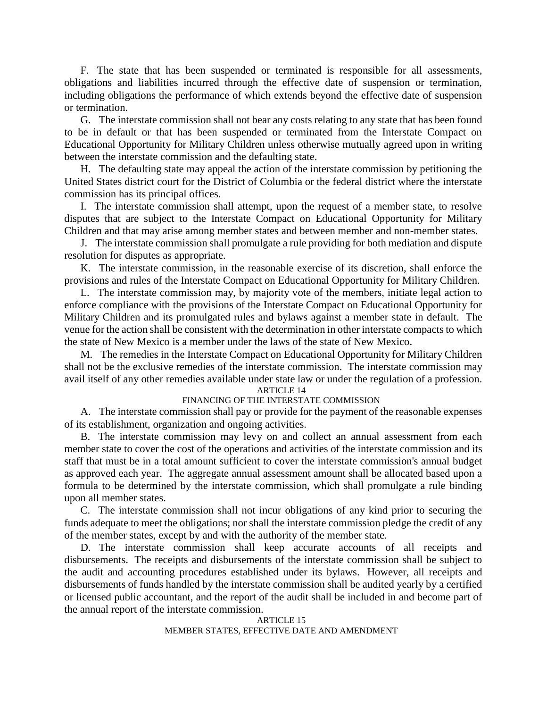F. The state that has been suspended or terminated is responsible for all assessments, obligations and liabilities incurred through the effective date of suspension or termination, including obligations the performance of which extends beyond the effective date of suspension or termination.

G. The interstate commission shall not bear any costs relating to any state that has been found to be in default or that has been suspended or terminated from the Interstate Compact on Educational Opportunity for Military Children unless otherwise mutually agreed upon in writing between the interstate commission and the defaulting state.

H. The defaulting state may appeal the action of the interstate commission by petitioning the United States district court for the District of Columbia or the federal district where the interstate commission has its principal offices.

I. The interstate commission shall attempt, upon the request of a member state, to resolve disputes that are subject to the Interstate Compact on Educational Opportunity for Military Children and that may arise among member states and between member and non-member states.

J. The interstate commission shall promulgate a rule providing for both mediation and dispute resolution for disputes as appropriate.

K. The interstate commission, in the reasonable exercise of its discretion, shall enforce the provisions and rules of the Interstate Compact on Educational Opportunity for Military Children.

L. The interstate commission may, by majority vote of the members, initiate legal action to enforce compliance with the provisions of the Interstate Compact on Educational Opportunity for Military Children and its promulgated rules and bylaws against a member state in default. The venue for the action shall be consistent with the determination in other interstate compacts to which the state of New Mexico is a member under the laws of the state of New Mexico.

M. The remedies in the Interstate Compact on Educational Opportunity for Military Children shall not be the exclusive remedies of the interstate commission. The interstate commission may avail itself of any other remedies available under state law or under the regulation of a profession.

### ARTICLE 14

### FINANCING OF THE INTERSTATE COMMISSION

A. The interstate commission shall pay or provide for the payment of the reasonable expenses of its establishment, organization and ongoing activities.

B. The interstate commission may levy on and collect an annual assessment from each member state to cover the cost of the operations and activities of the interstate commission and its staff that must be in a total amount sufficient to cover the interstate commission's annual budget as approved each year. The aggregate annual assessment amount shall be allocated based upon a formula to be determined by the interstate commission, which shall promulgate a rule binding upon all member states.

C. The interstate commission shall not incur obligations of any kind prior to securing the funds adequate to meet the obligations; nor shall the interstate commission pledge the credit of any of the member states, except by and with the authority of the member state.

D. The interstate commission shall keep accurate accounts of all receipts and disbursements. The receipts and disbursements of the interstate commission shall be subject to the audit and accounting procedures established under its bylaws. However, all receipts and disbursements of funds handled by the interstate commission shall be audited yearly by a certified or licensed public accountant, and the report of the audit shall be included in and become part of the annual report of the interstate commission.

## ARTICLE 15

#### MEMBER STATES, EFFECTIVE DATE AND AMENDMENT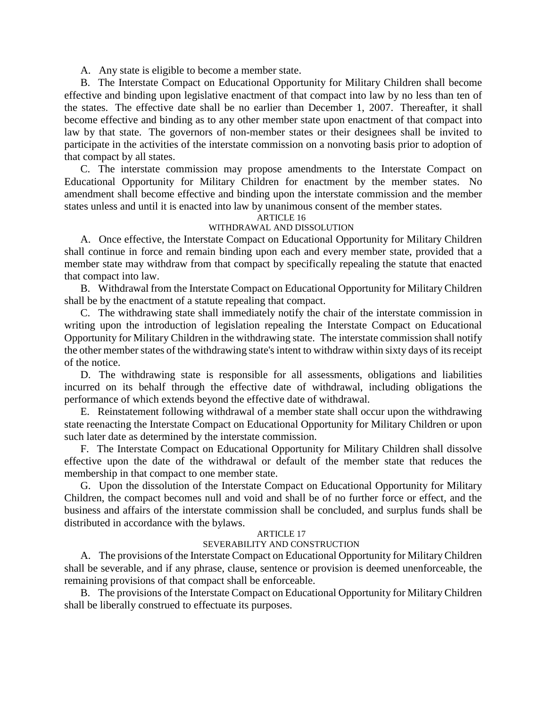A. Any state is eligible to become a member state.

B. The Interstate Compact on Educational Opportunity for Military Children shall become effective and binding upon legislative enactment of that compact into law by no less than ten of the states. The effective date shall be no earlier than December 1, 2007. Thereafter, it shall become effective and binding as to any other member state upon enactment of that compact into law by that state. The governors of non-member states or their designees shall be invited to participate in the activities of the interstate commission on a nonvoting basis prior to adoption of that compact by all states.

C. The interstate commission may propose amendments to the Interstate Compact on Educational Opportunity for Military Children for enactment by the member states. No amendment shall become effective and binding upon the interstate commission and the member states unless and until it is enacted into law by unanimous consent of the member states.

#### ARTICLE 16

### WITHDRAWAL AND DISSOLUTION

A. Once effective, the Interstate Compact on Educational Opportunity for Military Children shall continue in force and remain binding upon each and every member state, provided that a member state may withdraw from that compact by specifically repealing the statute that enacted that compact into law.

B. Withdrawal from the Interstate Compact on Educational Opportunity for Military Children shall be by the enactment of a statute repealing that compact.

C. The withdrawing state shall immediately notify the chair of the interstate commission in writing upon the introduction of legislation repealing the Interstate Compact on Educational Opportunity for Military Children in the withdrawing state. The interstate commission shall notify the other member states of the withdrawing state's intent to withdraw within sixty days of its receipt of the notice.

D. The withdrawing state is responsible for all assessments, obligations and liabilities incurred on its behalf through the effective date of withdrawal, including obligations the performance of which extends beyond the effective date of withdrawal.

E. Reinstatement following withdrawal of a member state shall occur upon the withdrawing state reenacting the Interstate Compact on Educational Opportunity for Military Children or upon such later date as determined by the interstate commission.

F. The Interstate Compact on Educational Opportunity for Military Children shall dissolve effective upon the date of the withdrawal or default of the member state that reduces the membership in that compact to one member state.

G. Upon the dissolution of the Interstate Compact on Educational Opportunity for Military Children, the compact becomes null and void and shall be of no further force or effect, and the business and affairs of the interstate commission shall be concluded, and surplus funds shall be distributed in accordance with the bylaws.

#### ARTICLE 17

## SEVERABILITY AND CONSTRUCTION

A. The provisions of the Interstate Compact on Educational Opportunity for Military Children shall be severable, and if any phrase, clause, sentence or provision is deemed unenforceable, the remaining provisions of that compact shall be enforceable.

B. The provisions of the Interstate Compact on Educational Opportunity for Military Children shall be liberally construed to effectuate its purposes.